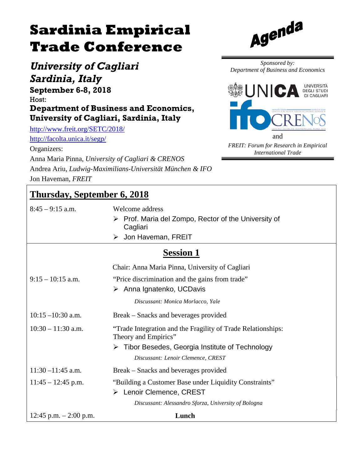# **Sardinia Empirical Trade Conference**

*University of Cagliari Sardinia, Italy*

**September 6-8, 2018** Host:

**Department of Business and Economics, University of Cagliari, Sardinia, Italy**

<http://www.freit.org/SETC/2018/> <http://facolta.unica.it/segp/>

Organizers:

Anna Maria Pinna, *University of Cagliari & CRENOS*

Andrea Ariu, *Ludwig-Maximilians-Universität München & IFO* Jon Haveman, *FREIT*

#### **Thursday, September 6, 2018**

8:45 – 9:15 a.m. Welcome address

- $\triangleright$  Prof. Maria del Zompo, Rector of the University of **Cagliari**
- > Jon Haveman, FREIT

#### **Session 1**

|                          | Chair: Anna Maria Pinna, University of Cagliari                                      |
|--------------------------|--------------------------------------------------------------------------------------|
| $9:15 - 10:15$ a.m.      | "Price discrimination and the gains from trade"                                      |
|                          | $\triangleright$ Anna Ignatenko, UCDavis                                             |
|                          | Discussant: Monica Morlacco, Yale                                                    |
| $10:15 - 10:30$ a.m.     | Break – Snacks and beverages provided                                                |
| $10:30 - 11:30$ a.m.     | "Trade Integration and the Fragility of Trade Relationships:<br>Theory and Empirics" |
|                          | $\triangleright$ Tibor Besedes, Georgia Institute of Technology                      |
|                          | Discussant: Lenoir Clemence, CREST                                                   |
| $11:30 - 11:45$ a.m.     | Break – Snacks and beverages provided                                                |
| $11:45 - 12:45$ p.m.     | "Building a Customer Base under Liquidity Constraints"                               |
|                          | > Lenoir Clemence, CREST                                                             |
|                          | Discussant: Alessandro Sforza, University of Bologna                                 |
| 12:45 p.m. $- 2:00$ p.m. | Lunch                                                                                |



*Sponsored by: Department of Business and Economics*



*FREIT: Forum for Research in Empirical International Trade*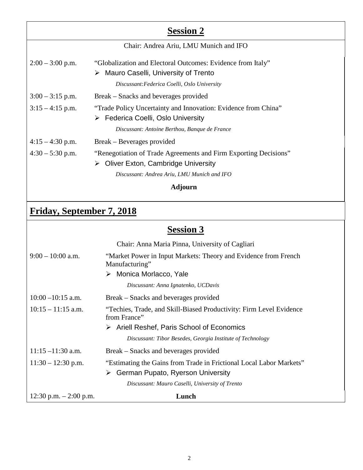| <b>Session 2</b>   |                                                                  |  |
|--------------------|------------------------------------------------------------------|--|
|                    | Chair: Andrea Ariu, LMU Munich and IFO                           |  |
| $2:00 - 3:00$ p.m. | "Globalization and Electoral Outcomes: Evidence from Italy"      |  |
|                    | Mauro Caselli, University of Trento<br>➤                         |  |
|                    | Discussant: Federica Coelli, Oslo University                     |  |
| $3:00 - 3:15$ p.m. | Break – Snacks and beverages provided                            |  |
| $3:15-4:15$ p.m.   | "Trade Policy Uncertainty and Innovation: Evidence from China"   |  |
|                    | Federica Coelli, Oslo University<br>➤                            |  |
|                    | Discussant: Antoine Berthou, Banque de France                    |  |
| $4:15 - 4:30$ p.m. | Break – Beverages provided                                       |  |
| $4:30 - 5:30$ p.m. | "Renegotiation of Trade Agreements and Firm Exporting Decisions" |  |
|                    | <b>Oliver Exton, Cambridge University</b><br>➤                   |  |
|                    | Discussant: Andrea Ariu, LMU Munich and IFO                      |  |
| Adjourn            |                                                                  |  |

## **Friday, September 7, 2018**

## **Session 3**

|                          | Chair: Anna Maria Pinna, University of Cagliari                                     |
|--------------------------|-------------------------------------------------------------------------------------|
| $9:00 - 10:00$ a.m.      | "Market Power in Input Markets: Theory and Evidence from French<br>Manufacturing"   |
|                          | > Monica Morlacco, Yale                                                             |
|                          | Discussant: Anna Ignatenko, UCDavis                                                 |
| $10:00 - 10:15$ a.m.     | Break – Snacks and beverages provided                                               |
| $10:15 - 11:15$ a.m.     | "Techies, Trade, and Skill-Biased Productivity: Firm Level Evidence<br>from France" |
|                          | $\triangleright$ Ariell Reshef, Paris School of Economics                           |
|                          | Discussant: Tibor Besedes, Georgia Institute of Technology                          |
| $11:15 - 11:30$ a.m.     | Break – Snacks and beverages provided                                               |
| $11:30 - 12:30$ p.m.     | "Estimating the Gains from Trade in Frictional Local Labor Markets"                 |
|                          | German Pupato, Ryerson University<br>➤                                              |
|                          | Discussant: Mauro Caselli, University of Trento                                     |
| 12:30 p.m. $- 2:00$ p.m. | Lunch                                                                               |